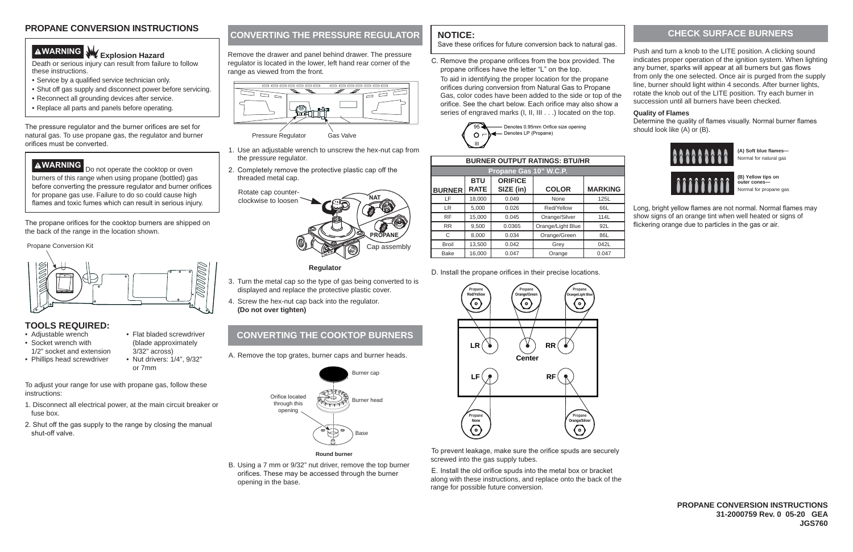**(A) Soft blue flames—** Normal for natural gas

**(B) Yellow tips on outer cones—** Normal for propane gas

Long, bright vellow flames are not normal, Normal flames may show signs of an orange tint when well heated or signs of flickering orange due to particles in the gas or air.

- To adjust your range for use with propane gas, follow these instructions:
- 1. Disconnect all electrical power, at the main circuit breaker or fuse box.
- 2. Shut off the gas supply to the range by closing the manual shut-off valve.

| <b>BURNER OUTPUT RATINGS: BTU/HR</b> |                           |                             |                   |                |  |  |  |
|--------------------------------------|---------------------------|-----------------------------|-------------------|----------------|--|--|--|
| Propane Gas 10" W.C.P.               |                           |                             |                   |                |  |  |  |
| <b>BURNER</b>                        | <b>BTU</b><br><b>RATE</b> | <b>ORIFICE</b><br>SIZE (in) | <b>COLOR</b>      | <b>MARKING</b> |  |  |  |
| LF                                   | 18,000                    | 0.049                       | None              | 125L           |  |  |  |
| LR.                                  | 5,000                     | 0.026                       | Red/Yellow        | 66L            |  |  |  |
| <b>RF</b>                            | 15,000                    | 0.045                       | Orange/Silver     | 114L           |  |  |  |
| <b>RR</b>                            | 9,500                     | 0.0365                      | Orange/Light Blue | 92L            |  |  |  |
| C                                    | 8,000                     | 0.034                       | Orange/Green      | 86L            |  |  |  |
| <b>Broil</b>                         | 13,500                    | 0.042                       | Grey              | 042L           |  |  |  |
| <b>Bake</b>                          | 16,000                    | 0.047                       | Orange            | 0.047          |  |  |  |

D. Install the propane orifices in their precise locations.

# **CONVERTING THE PRESSURE REGULATOR**

- Adiustable wrench
- Socket wrench with 1/2" socket and extension
- Phillips head screwdriver
- (blade approximately 3/32" across) • Nut drivers: 1/4", 9/32" or 7mm

Remove the drawer and panel behind drawer. The pressure regulator is located in the lower, left hand rear corner of the range as viewed from the front.

- 1. Use an adjustable wrench to unscrew the hex-nut cap from the pressure regulator.
- 2. Completely remove the protective plastic cap off the threaded metal cap.

The propane orifices for the cooktop burners are shipped on the back of the range in the location shown.

> To prevent leakage, make sure the orifice spuds are securely screwed into the gas supply tubes.

- 3. Turn the metal cap so the type of gas being converted to is displayed and replace the protective plastic cover.
- 4. Screw the hex-nut cap back into the regulator. **(Do not over tighten)**

E. Install the old orifice spuds into the metal box or bracket along with these instructions, and replace onto the back of the range for possible future conversion.

### **TOOLS REQUIRED:**

• Flat bladed screwdriver





#### **Regulator**

Determine the quality of flames visually. Normal burner flames should look like (A) or (B).



Propane Conversion Kit







#### **CHECK SURFACE BURNERS**

Push and turn a knob to the LITE position. A clicking sound indicates proper operation of the ignition system. When lighting any burner, sparks will appear at all burners but gas flows from only the one selected. Once air is purged from the supply line, burner should light within 4 seconds. After burner lights, rotate the knob out of the LITE position. Try each burner in succession until all burners have been checked.

#### **Quality of Flames**

Death or serious injury can result from failure to follow these instructions.

- Service by a qualified service technician only.
- Shut off gas supply and disconnect power before servicing.
- Reconnect all grounding devices after service.
- Replace all parts and panels before operating.

The pressure regulator and the burner orifices are set for natural gas. To use propane gas, the regulator and burner orifices must be converted.

**AWARNING** Do not operate the cooktop or oven burners of this range when using propane (bottled) gas before converting the pressure regulator and burner orifices for propane gas use. Failure to do so could cause high flames and toxic fumes which can result in serious injury.

A. Remove the top grates, burner caps and burner heads.

B. Using a 7 mm or 9/32" nut driver, remove the top burner orifices. These may be accessed through the burner opening in the base.

### **NOTICE:**

Save these orifices for future conversion back to natural gas.

C. Remove the propane orifices from the box provided. The propane orifices have the letter "L" on the top. To aid in identifying the proper location for the propane orifices during conversion from Natural Gas to Propane Gas, color codes have been added to the side or top of the orifice. See the chart below. Each orifice may also show a series of engraved marks (I, II, III . . .) located on the top.

**Round burner**



# **AWARNING** W Explosion Hazard

# **CONVERTING THE COOKTOP BURNERS**